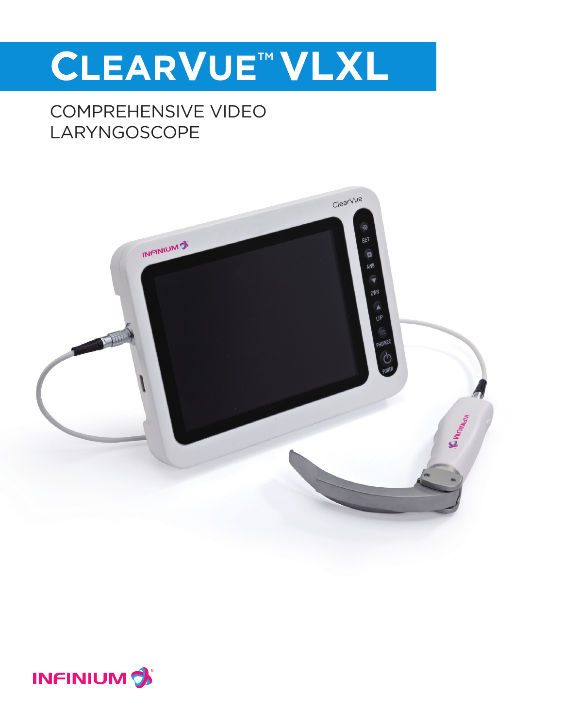# **CLEARVUE**TM **VLXL**

## COMPREHENSIVE VIDEO LARYNGOSCOPE



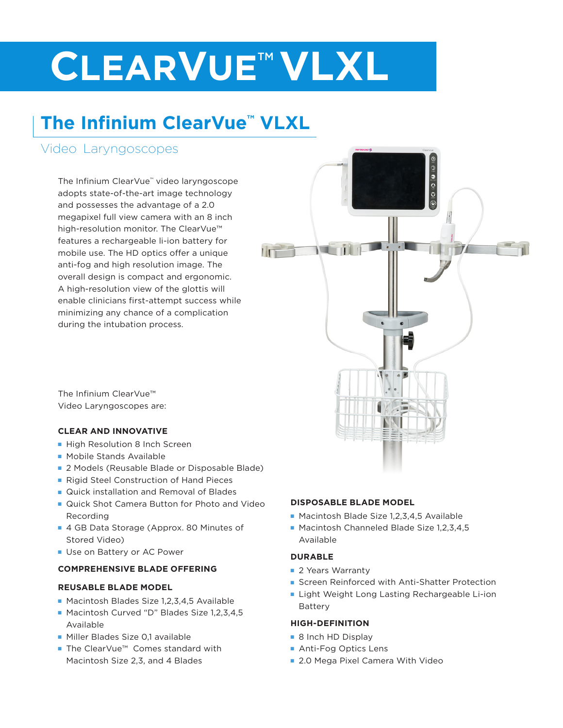# **CLEARVUE**TM **VLXL**

# **The Infinium ClearVue™ VLXL**

### Video Laryngoscopes

The Infinium ClearVue™ video laryngoscope adopts state-of-the-art image technology and possesses the advantage of a 2.0 megapixel full view camera with an 8 inch high-resolution monitor. The ClearVue™ features a rechargeable li-ion battery for mobile use. The HD optics offer a unique anti-fog and high resolution image. The overall design is compact and ergonomic. A high-resolution view of the glottis will enable clinicians first-attempt success while minimizing any chance of a complication during the intubation process.

The Infinium ClearVue™ Video Laryngoscopes are:

### **CLEAR AND INNOVATIVE**

- High Resolution 8 Inch Screen
- **n** Mobile Stands Available
- 2 Models (Reusable Blade or Disposable Blade)
- Rigid Steel Construction of Hand Pieces
- **n** Quick installation and Removal of Blades
- **n** Quick Shot Camera Button for Photo and Video Recording
- 4 GB Data Storage (Approx. 80 Minutes of Stored Video)
- **N** Use on Battery or AC Power

### **COMPREHENSIVE BLADE OFFERING**

### **REUSABLE BLADE MODEL**

- Macintosh Blades Size 1,2,3,4,5 Available
- Macintosh Curved "D" Blades Size 1,2,3,4,5 Available
- **Niller Blades Size 0.1 available**
- The ClearVue™ Comes standard with Macintosh Size 2,3, and 4 Blades

### **DISPOSABLE BLADE MODEL**

- $\blacksquare$  Macintosh Blade Size 1,2,3,4,5 Available
- Macintosh Channeled Blade Size 1,2,3,4,5 Available

### **DURABLE**

- **2 Years Warranty**
- **F** Screen Reinforced with Anti-Shatter Protection

 $\begin{array}{c|c} 0 & 0 & 0 \\ 0 & 0 & 0 \end{array}$ 

**E** Light Weight Long Lasting Rechargeable Li-ion Battery

### **HIGH-DEFINITION**

- 8 Inch HD Display
- **Anti-Fog Optics Lens**
- 2.0 Mega Pixel Camera With Video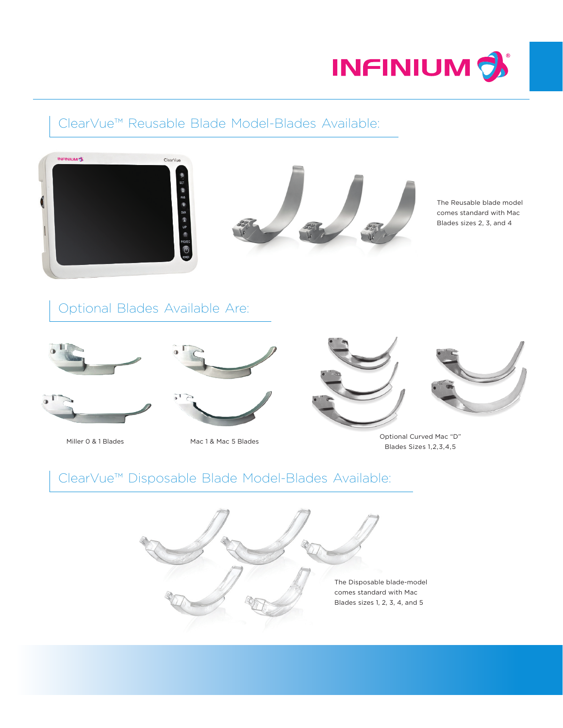

### ClearVue™ Reusable Blade Model-Blades Available:





The Reusable blade model comes standard with Mac Blades sizes 2, 3, and 4

Optional Blades Available Are:







Miller 0 & 1 Blades Mac 1 & Mac 5 Blades





Optional Curved Mac "D" Blades Sizes 1,2,3,4,5

### ClearVue™ Disposable Blade Model-Blades Available: